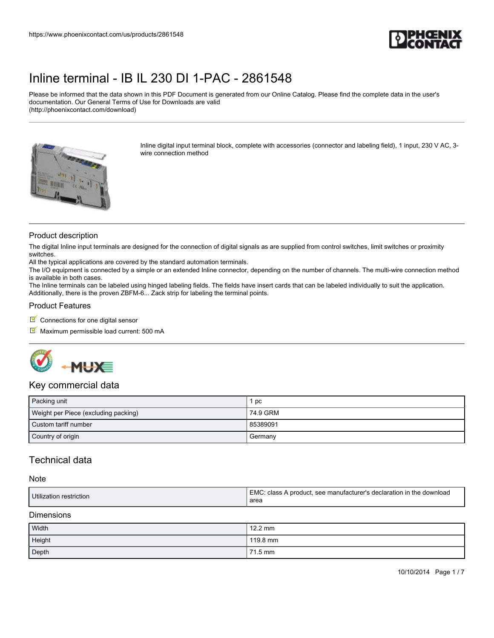

Please be informed that the data shown in this PDF Document is generated from our Online Catalog. Please find the complete data in the user's documentation. Our General Terms of Use for Downloads are valid (http://phoenixcontact.com/download)



Inline digital input terminal block, complete with accessories (connector and labeling field), 1 input, 230 V AC, 3 wire connection method

### Product description

The digital Inline input terminals are designed for the connection of digital signals as are supplied from control switches, limit switches or proximity switches.

All the typical applications are covered by the standard automation terminals.

The I/O equipment is connected by a simple or an extended Inline connector, depending on the number of channels. The multi-wire connection method is available in both cases.

The Inline terminals can be labeled using hinged labeling fields. The fields have insert cards that can be labeled individually to suit the application. Additionally, there is the proven ZBFM-6... Zack strip for labeling the terminal points.

#### Product Features

- $\blacksquare$  Connections for one digital sensor
- $M$  Maximum permissible load current: 500 mA



### Key commercial data

| Packing unit                         | рc       |
|--------------------------------------|----------|
| Weight per Piece (excluding packing) | 74.9 GRM |
| Custom tariff number                 | 85389091 |
| Country of origin                    | Germany  |

## Technical data

#### **Note**

|  | Utilization<br>restriction | <b>EMC</b><br>'. see manufacturer's declaration in the u<br>class A<br>: download<br>A product.<br>area |
|--|----------------------------|---------------------------------------------------------------------------------------------------------|
|--|----------------------------|---------------------------------------------------------------------------------------------------------|

### Dimensions

| Width  | $12.2 \text{ mm}$ |
|--------|-------------------|
| Height | 119.8 mm          |
| Depth  | 71.5 mm           |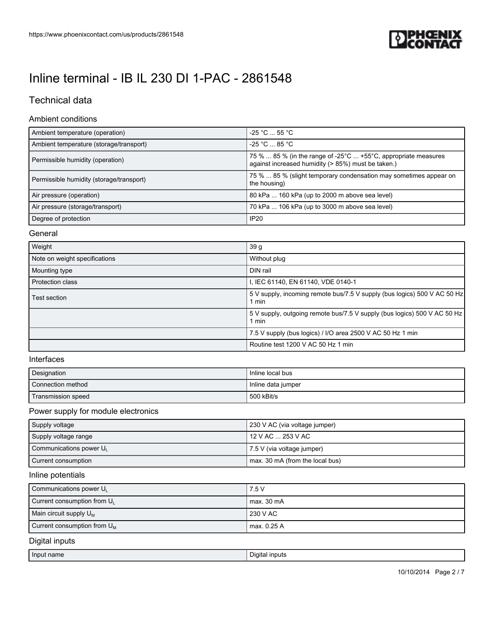

# Technical data

#### Ambient conditions

| Ambient temperature (operation)          | $-25 °C \dots 55 °C$                                                                                                                       |
|------------------------------------------|--------------------------------------------------------------------------------------------------------------------------------------------|
| Ambient temperature (storage/transport)  | $-25$ °C $\dots$ 85 °C $\cdot$                                                                                                             |
| Permissible humidity (operation)         | 75 %  85 % (in the range of -25 $^{\circ}$ C  +55 $^{\circ}$ C, appropriate measures<br>against increased humidity (> 85%) must be taken.) |
| Permissible humidity (storage/transport) | 75 %  85 % (slight temporary condensation may sometimes appear on<br>the housing)                                                          |
| Air pressure (operation)                 | 80 kPa  160 kPa (up to 2000 m above sea level)                                                                                             |
| Air pressure (storage/transport)         | 70 kPa  106 kPa (up to 3000 m above sea level)                                                                                             |
| Degree of protection                     | IP20                                                                                                                                       |

#### **General**

| Weight                        | 39 <sub>g</sub>                                                                   |
|-------------------------------|-----------------------------------------------------------------------------------|
| Note on weight specifications | Without plug                                                                      |
| Mounting type                 | DIN rail                                                                          |
| <b>Protection class</b>       | I, IEC 61140, EN 61140, VDE 0140-1                                                |
| <b>Test section</b>           | 5 V supply, incoming remote bus/7.5 V supply (bus logics) 500 V AC 50 Hz<br>1 min |
|                               | 5 V supply, outgoing remote bus/7.5 V supply (bus logics) 500 V AC 50 Hz<br>1 min |
|                               | 7.5 V supply (bus logics) / I/O area 2500 V AC 50 Hz 1 min                        |
|                               | Routine test 1200 V AC 50 Hz 1 min                                                |

## Interfaces

| Designation        | Inline local bus   |
|--------------------|--------------------|
| Connection method  | Inline data jumper |
| Transmission speed | 500 kBit/s         |

### Power supply for module electronics

| Supply voltage         | 230 V AC (via voltage jumper)   |
|------------------------|---------------------------------|
| Supply voltage range   | 12 V AC  253 V AC               |
| Communications power U | 7.5 V (via voltage jumper)      |
| Current consumption    | max. 30 mA (from the local bus) |

### Inline potentials

| Communications power UL        | 7.5 V       |
|--------------------------------|-------------|
| Current consumption from $U_L$ | max. 30 mA  |
| Main circuit supply $U_M$      | 230 V AC    |
| Current consumption from $U_M$ | max. 0.25 A |

## Digital inputs

| Input name | ' inputs<br>Jidital |
|------------|---------------------|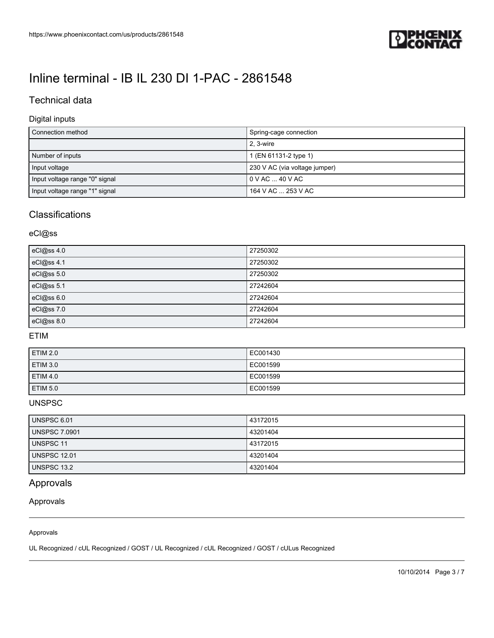

## Technical data

### Digital inputs

| l Connection method            | Spring-cage connection        |
|--------------------------------|-------------------------------|
|                                | 2. 3-wire                     |
| Number of inputs               | 1 (EN 61131-2 type 1)         |
| Input voltage                  | 230 V AC (via voltage jumper) |
| Input voltage range "0" signal | $0 \vee AC \dots 40 \vee AC$  |
| Input voltage range "1" signal | 164 V AC  253 V AC            |

## **Classifications**

## eCl@ss

| eCl@ss 4.0 | 27250302 |
|------------|----------|
| eCl@ss 4.1 | 27250302 |
| eCl@ss 5.0 | 27250302 |
| eCl@ss 5.1 | 27242604 |
| eCl@ss 6.0 | 27242604 |
| eCl@ss 7.0 | 27242604 |
| eCl@ss 8.0 | 27242604 |

### ETIM

| ETIM 2.0        | EC001430 |
|-----------------|----------|
| ETIM 3.0        | EC001599 |
| ETIM 4.0        | EC001599 |
| <b>ETIM 5.0</b> | EC001599 |

### UNSPSC

| <b>UNSPSC 6.01</b>   | 43172015 |
|----------------------|----------|
| <b>UNSPSC 7.0901</b> | 43201404 |
| UNSPSC 11            | 43172015 |
| <b>UNSPSC 12.01</b>  | 43201404 |
| UNSPSC 13.2          | 43201404 |

## Approvals

Approvals

#### Approvals

UL Recognized / cUL Recognized / GOST / UL Recognized / cUL Recognized / GOST / cULus Recognized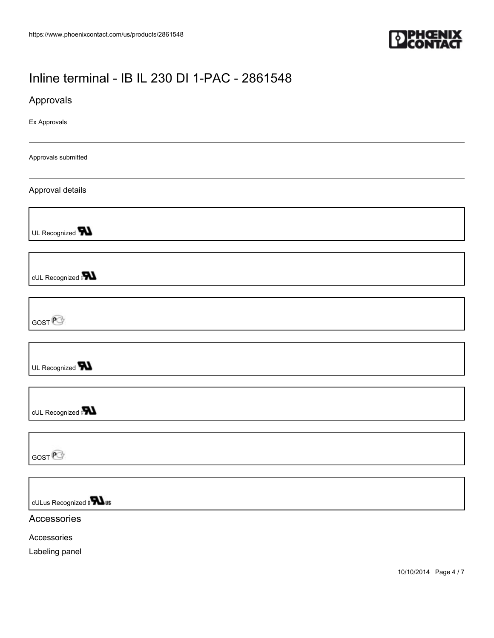

Approvals

Ex Approvals

Approvals submitted

Approval details

UL Recognized **W** 

cUL Recognized **N** 

GOST<sup>P</sup>

UL Recognized **W** 

cUL Recognized

GOST<sup>P</sup>

cULus Recognized on **What** 

**Accessories** 

Accessories

Labeling panel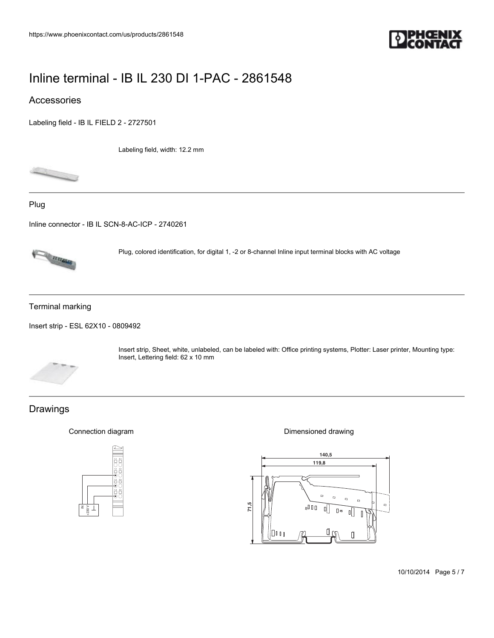

## Accessories

[Labeling field - IB IL FIELD 2 - 2727501](https://www.phoenixcontact.com/us/products/2727501)

Labeling field, width: 12.2 mm



Plug

[Inline connector - IB IL SCN-8-AC-ICP - 2740261](https://www.phoenixcontact.com/us/products/2740261)



Plug, colored identification, for digital 1, -2 or 8-channel Inline input terminal blocks with AC voltage

Terminal marking

[Insert strip - ESL 62X10 - 0809492](https://www.phoenixcontact.com/us/products/0809492)



Insert strip, Sheet, white, unlabeled, can be labeled with: Office printing systems, Plotter: Laser printer, Mounting type: Insert, Lettering field: 62 x 10 mm  $1.1$  2.1  $\mu$  2.1  $\mu$  2.1  $\mu$  2.1  $\mu$  2.1  $\mu$  2.1  $\mu$  2.1  $\mu$  3.1  $\mu$  3.1  $\mu$  5.1  $\mu$  5.1  $\mu$  5.1  $\mu$  5.1  $\mu$  5.1  $\mu$  5.1  $\mu$  5.1  $\mu$  5.1  $\mu$  5.1  $\mu$  5.1  $\mu$  5.1  $\mu$  5.1  $\mu$  5.1  $\mu$  5.1  $\mu$  5.1  $\mu$ 

## Drawings

Connection diagram



Dimensioned drawing

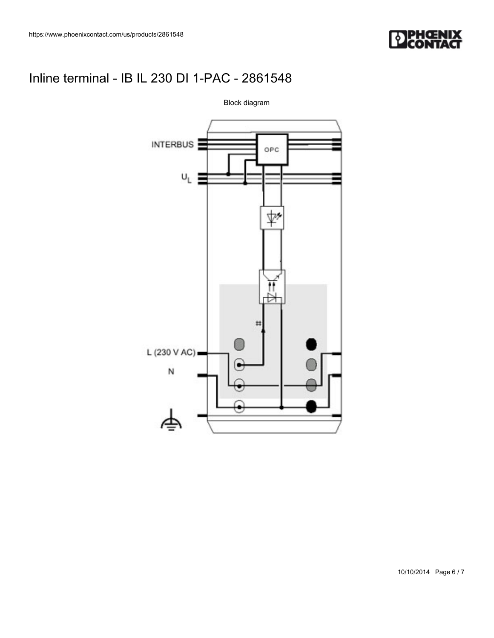



10/10/2014 Page 6 / 7